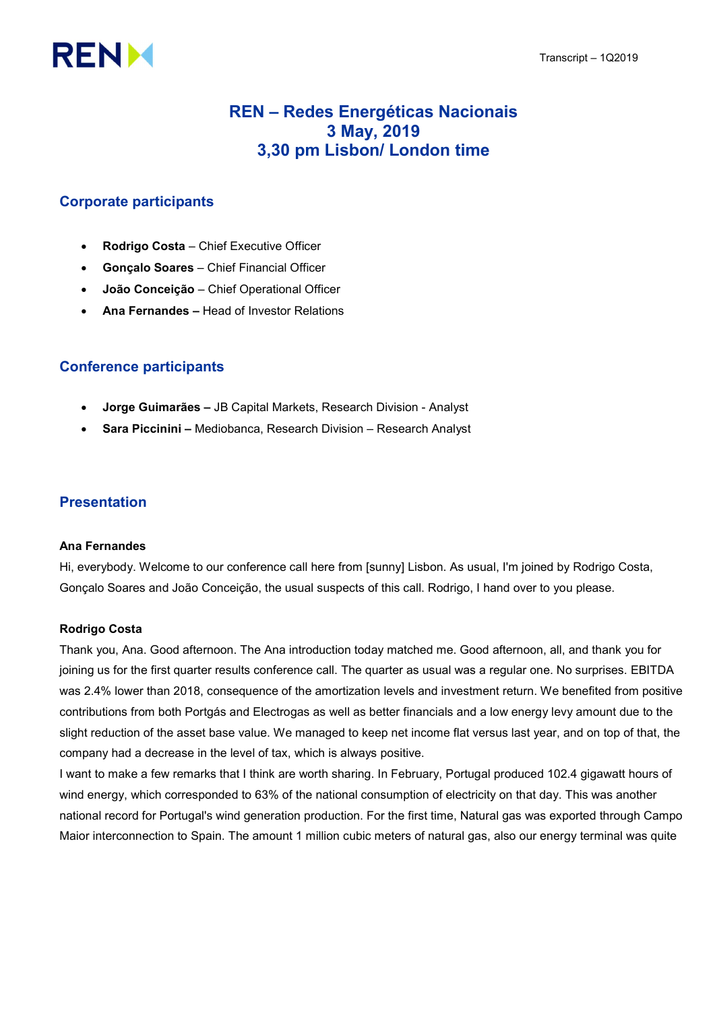# **RENM**

## REN – Redes Energéticas Nacionais 3 May, 2019 3,30 pm Lisbon/ London time

## Corporate participants

- Rodrigo Costa Chief Executive Officer
- Gonçalo Soares Chief Financial Officer
- João Conceição Chief Operational Officer
- Ana Fernandes Head of Investor Relations

## Conference participants

- Jorge Guimarães JB Capital Markets, Research Division Analyst
- Sara Piccinini Mediobanca, Research Division Research Analyst

## Presentation

#### Ana Fernandes

Hi, everybody. Welcome to our conference call here from [sunny] Lisbon. As usual, I'm joined by Rodrigo Costa, Gonçalo Soares and João Conceição, the usual suspects of this call. Rodrigo, I hand over to you please.

#### Rodrigo Costa

Thank you, Ana. Good afternoon. The Ana introduction today matched me. Good afternoon, all, and thank you for joining us for the first quarter results conference call. The quarter as usual was a regular one. No surprises. EBITDA was 2.4% lower than 2018, consequence of the amortization levels and investment return. We benefited from positive contributions from both Portgás and Electrogas as well as better financials and a low energy levy amount due to the slight reduction of the asset base value. We managed to keep net income flat versus last year, and on top of that, the company had a decrease in the level of tax, which is always positive.

I want to make a few remarks that I think are worth sharing. In February, Portugal produced 102.4 gigawatt hours of wind energy, which corresponded to 63% of the national consumption of electricity on that day. This was another national record for Portugal's wind generation production. For the first time, Natural gas was exported through Campo Maior interconnection to Spain. The amount 1 million cubic meters of natural gas, also our energy terminal was quite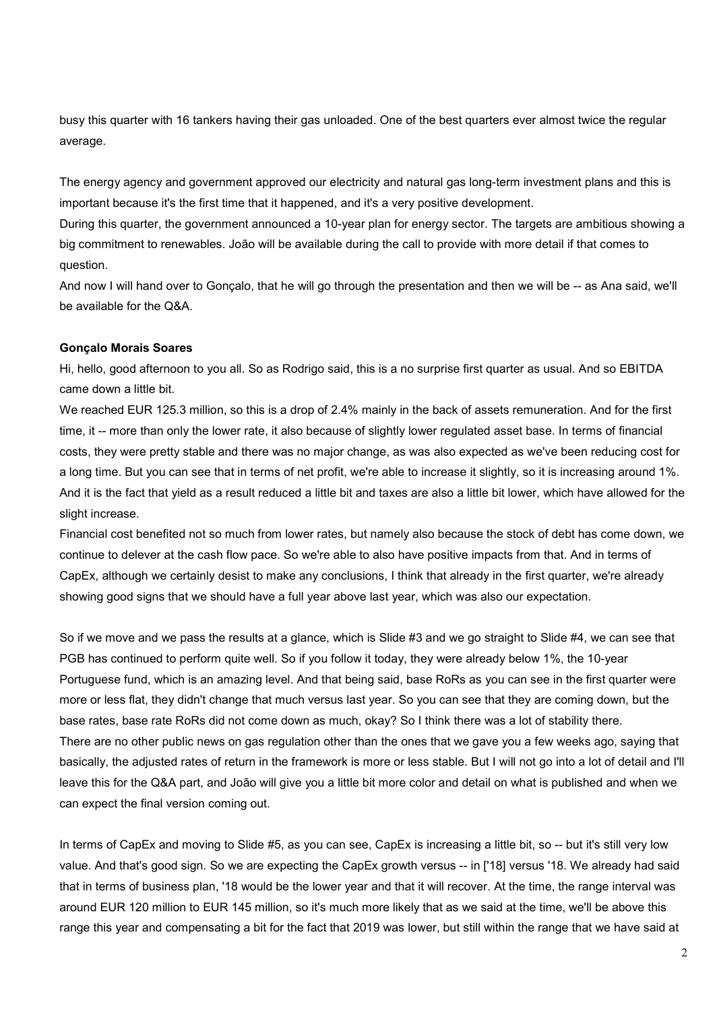busy this quarter with 16 tankers having their gas unloaded. One of the best quarters ever almost twice the regular average.

The energy agency and government approved our electricity and natural gas long-term investment plans and this is important because it's the first time that it happened, and it's a very positive development.

During this quarter, the government announced a 10-year plan for energy sector. The targets are ambitious showing a big commitment to renewables. João will be available during the call to provide with more detail if that comes to question.

And now I will hand over to Gonçalo, that he will go through the presentation and then we will be -- as Ana said, we'll be available for the Q&A.

#### Gonçalo Morais Soares

Hi, hello, good afternoon to you all. So as Rodrigo said, this is a no surprise first quarter as usual. And so EBITDA came down a little bit.

We reached EUR 125.3 million, so this is a drop of 2.4% mainly in the back of assets remuneration. And for the first time, it -- more than only the lower rate, it also because of slightly lower regulated asset base. In terms of financial costs, they were pretty stable and there was no major change, as was also expected as we've been reducing cost for a long time. But you can see that in terms of net profit, we're able to increase it slightly, so it is increasing around 1%. And it is the fact that yield as a result reduced a little bit and taxes are also a little bit lower, which have allowed for the slight increase.

Financial cost benefited not so much from lower rates, but namely also because the stock of debt has come down, we continue to delever at the cash flow pace. So we're able to also have positive impacts from that. And in terms of CapEx, although we certainly desist to make any conclusions, I think that already in the first quarter, we're already showing good signs that we should have a full year above last year, which was also our expectation.

So if we move and we pass the results at a glance, which is Slide #3 and we go straight to Slide #4, we can see that PGB has continued to perform quite well. So if you follow it today, they were already below 1%, the 10-year Portuguese fund, which is an amazing level. And that being said, base RoRs as you can see in the first quarter were more or less flat, they didn't change that much versus last year. So you can see that they are coming down, but the base rates, base rate RoRs did not come down as much, okay? So I think there was a lot of stability there. There are no other public news on gas regulation other than the ones that we gave you a few weeks ago, saying that basically, the adjusted rates of return in the framework is more or less stable. But I will not go into a lot of detail and I'll leave this for the Q&A part, and João will give you a little bit more color and detail on what is published and when we can expect the final version coming out.

In terms of CapEx and moving to Slide #5, as you can see, CapEx is increasing a little bit, so -- but it's still very low value. And that's good sign. So we are expecting the CapEx growth versus -- in ['18] versus '18. We already had said that in terms of business plan, '18 would be the lower year and that it will recover. At the time, the range interval was around EUR 120 million to EUR 145 million, so it's much more likely that as we said at the time, we'll be above this range this year and compensating a bit for the fact that 2019 was lower, but still within the range that we have said at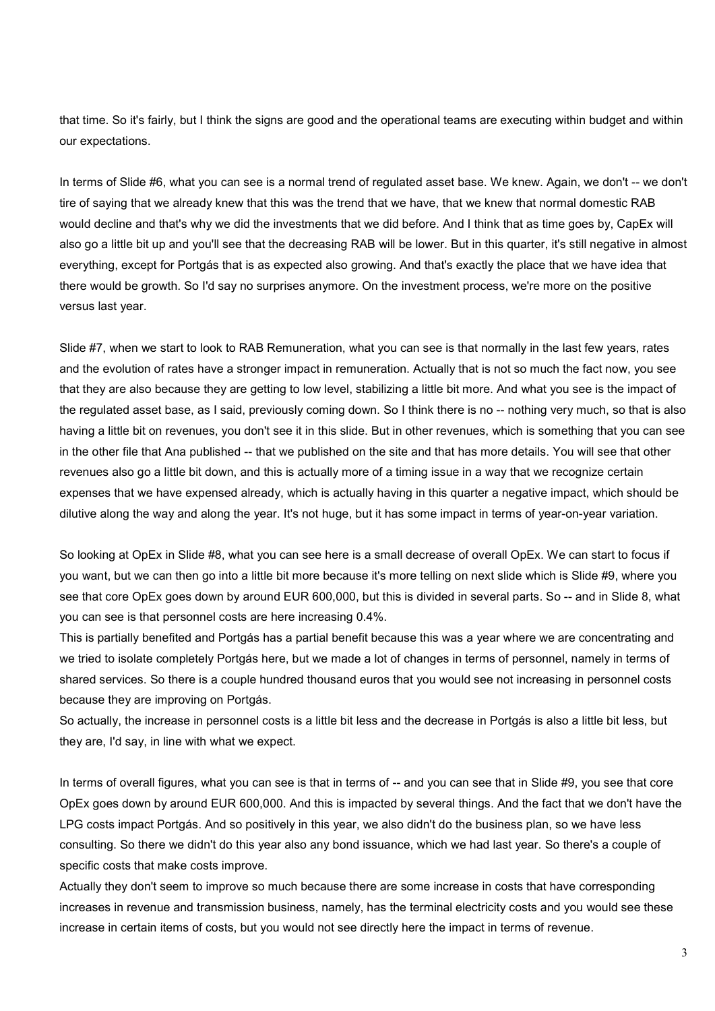that time. So it's fairly, but I think the signs are good and the operational teams are executing within budget and within our expectations.

In terms of Slide #6, what you can see is a normal trend of regulated asset base. We knew. Again, we don't -- we don't tire of saying that we already knew that this was the trend that we have, that we knew that normal domestic RAB would decline and that's why we did the investments that we did before. And I think that as time goes by, CapEx will also go a little bit up and you'll see that the decreasing RAB will be lower. But in this quarter, it's still negative in almost everything, except for Portgás that is as expected also growing. And that's exactly the place that we have idea that there would be growth. So I'd say no surprises anymore. On the investment process, we're more on the positive versus last year.

Slide #7, when we start to look to RAB Remuneration, what you can see is that normally in the last few years, rates and the evolution of rates have a stronger impact in remuneration. Actually that is not so much the fact now, you see that they are also because they are getting to low level, stabilizing a little bit more. And what you see is the impact of the regulated asset base, as I said, previously coming down. So I think there is no -- nothing very much, so that is also having a little bit on revenues, you don't see it in this slide. But in other revenues, which is something that you can see in the other file that Ana published -- that we published on the site and that has more details. You will see that other revenues also go a little bit down, and this is actually more of a timing issue in a way that we recognize certain expenses that we have expensed already, which is actually having in this quarter a negative impact, which should be dilutive along the way and along the year. It's not huge, but it has some impact in terms of year-on-year variation.

So looking at OpEx in Slide #8, what you can see here is a small decrease of overall OpEx. We can start to focus if you want, but we can then go into a little bit more because it's more telling on next slide which is Slide #9, where you see that core OpEx goes down by around EUR 600,000, but this is divided in several parts. So -- and in Slide 8, what you can see is that personnel costs are here increasing 0.4%.

This is partially benefited and Portgás has a partial benefit because this was a year where we are concentrating and we tried to isolate completely Portgás here, but we made a lot of changes in terms of personnel, namely in terms of shared services. So there is a couple hundred thousand euros that you would see not increasing in personnel costs because they are improving on Portgás.

So actually, the increase in personnel costs is a little bit less and the decrease in Portgás is also a little bit less, but they are, I'd say, in line with what we expect.

In terms of overall figures, what you can see is that in terms of -- and you can see that in Slide #9, you see that core OpEx goes down by around EUR 600,000. And this is impacted by several things. And the fact that we don't have the LPG costs impact Portgás. And so positively in this year, we also didn't do the business plan, so we have less consulting. So there we didn't do this year also any bond issuance, which we had last year. So there's a couple of specific costs that make costs improve.

Actually they don't seem to improve so much because there are some increase in costs that have corresponding increases in revenue and transmission business, namely, has the terminal electricity costs and you would see these increase in certain items of costs, but you would not see directly here the impact in terms of revenue.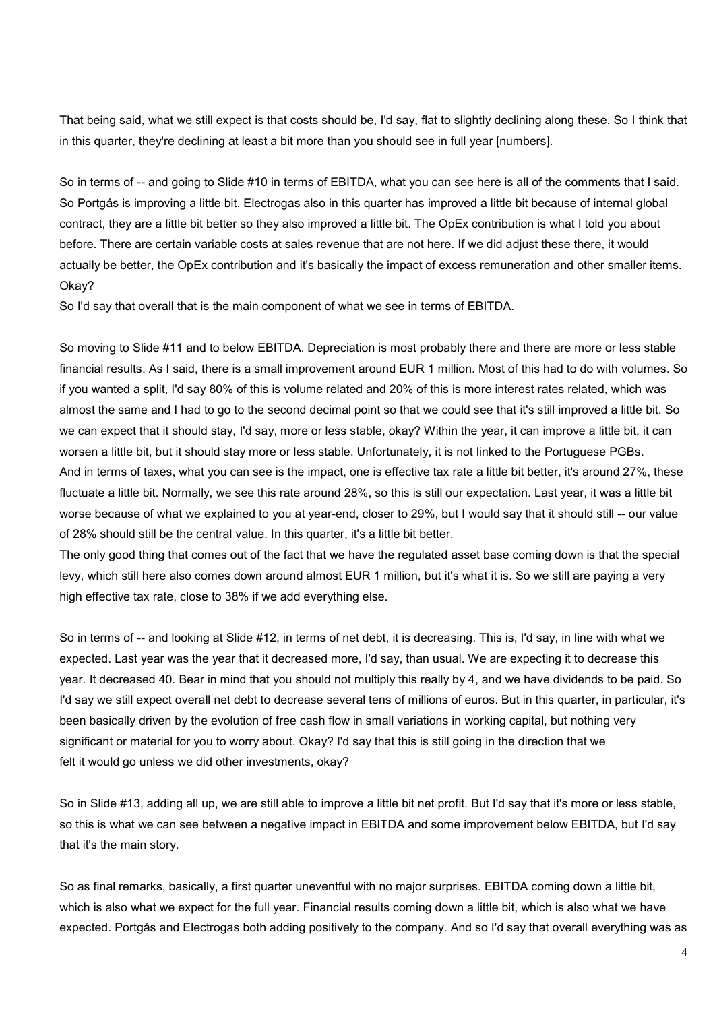That being said, what we still expect is that costs should be, I'd say, flat to slightly declining along these. So I think that in this quarter, they're declining at least a bit more than you should see in full year [numbers].

So in terms of -- and going to Slide #10 in terms of EBITDA, what you can see here is all of the comments that I said. So Portgás is improving a little bit. Electrogas also in this quarter has improved a little bit because of internal global contract, they are a little bit better so they also improved a little bit. The OpEx contribution is what I told you about before. There are certain variable costs at sales revenue that are not here. If we did adjust these there, it would actually be better, the OpEx contribution and it's basically the impact of excess remuneration and other smaller items. Okay?

So I'd say that overall that is the main component of what we see in terms of EBITDA.

So moving to Slide #11 and to below EBITDA. Depreciation is most probably there and there are more or less stable financial results. As I said, there is a small improvement around EUR 1 million. Most of this had to do with volumes. So if you wanted a split, I'd say 80% of this is volume related and 20% of this is more interest rates related, which was almost the same and I had to go to the second decimal point so that we could see that it's still improved a little bit. So we can expect that it should stay, I'd say, more or less stable, okay? Within the year, it can improve a little bit, it can worsen a little bit, but it should stay more or less stable. Unfortunately, it is not linked to the Portuguese PGBs. And in terms of taxes, what you can see is the impact, one is effective tax rate a little bit better, it's around 27%, these fluctuate a little bit. Normally, we see this rate around 28%, so this is still our expectation. Last year, it was a little bit worse because of what we explained to you at year-end, closer to 29%, but I would say that it should still -- our value of 28% should still be the central value. In this quarter, it's a little bit better.

The only good thing that comes out of the fact that we have the regulated asset base coming down is that the special levy, which still here also comes down around almost EUR 1 million, but it's what it is. So we still are paying a very high effective tax rate, close to 38% if we add everything else.

So in terms of -- and looking at Slide #12, in terms of net debt, it is decreasing. This is, I'd say, in line with what we expected. Last year was the year that it decreased more, I'd say, than usual. We are expecting it to decrease this year. It decreased 40. Bear in mind that you should not multiply this really by 4, and we have dividends to be paid. So I'd say we still expect overall net debt to decrease several tens of millions of euros. But in this quarter, in particular, it's been basically driven by the evolution of free cash flow in small variations in working capital, but nothing very significant or material for you to worry about. Okay? I'd say that this is still going in the direction that we felt it would go unless we did other investments, okay?

So in Slide #13, adding all up, we are still able to improve a little bit net profit. But I'd say that it's more or less stable, so this is what we can see between a negative impact in EBITDA and some improvement below EBITDA, but I'd say that it's the main story.

So as final remarks, basically, a first quarter uneventful with no major surprises. EBITDA coming down a little bit, which is also what we expect for the full year. Financial results coming down a little bit, which is also what we have expected. Portgás and Electrogas both adding positively to the company. And so I'd say that overall everything was as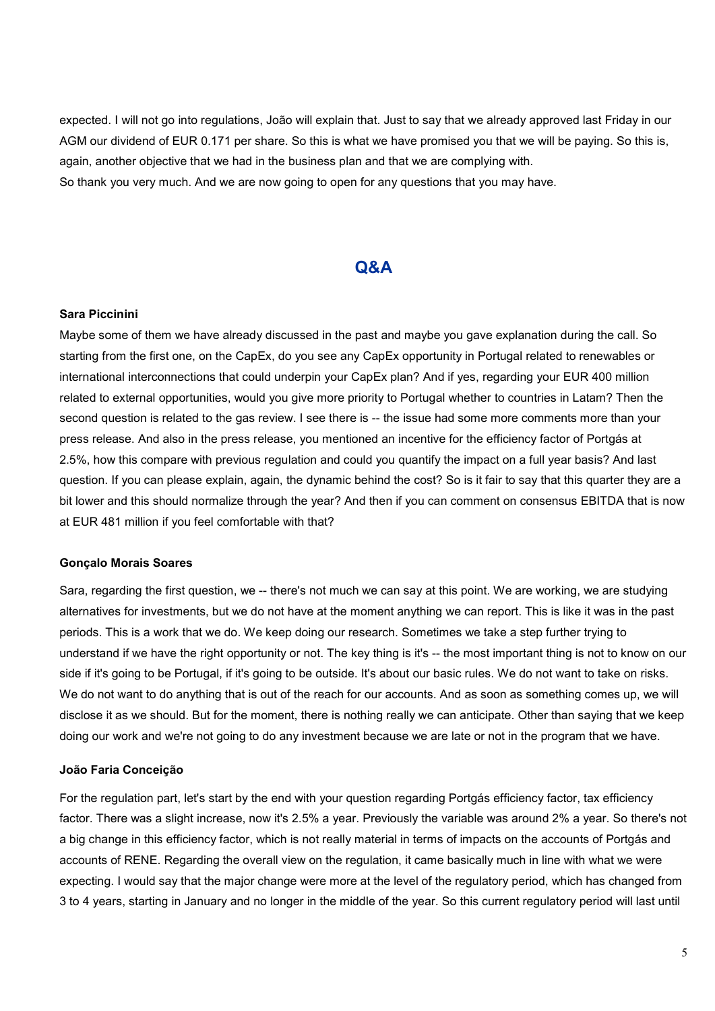expected. I will not go into regulations, João will explain that. Just to say that we already approved last Friday in our AGM our dividend of EUR 0.171 per share. So this is what we have promised you that we will be paying. So this is, again, another objective that we had in the business plan and that we are complying with.

So thank you very much. And we are now going to open for any questions that you may have.

### Q&A

#### Sara Piccinini

Maybe some of them we have already discussed in the past and maybe you gave explanation during the call. So starting from the first one, on the CapEx, do you see any CapEx opportunity in Portugal related to renewables or international interconnections that could underpin your CapEx plan? And if yes, regarding your EUR 400 million related to external opportunities, would you give more priority to Portugal whether to countries in Latam? Then the second question is related to the gas review. I see there is -- the issue had some more comments more than your press release. And also in the press release, you mentioned an incentive for the efficiency factor of Portgás at 2.5%, how this compare with previous regulation and could you quantify the impact on a full year basis? And last question. If you can please explain, again, the dynamic behind the cost? So is it fair to say that this quarter they are a bit lower and this should normalize through the year? And then if you can comment on consensus EBITDA that is now at EUR 481 million if you feel comfortable with that?

#### Gonçalo Morais Soares

Sara, regarding the first question, we -- there's not much we can say at this point. We are working, we are studying alternatives for investments, but we do not have at the moment anything we can report. This is like it was in the past periods. This is a work that we do. We keep doing our research. Sometimes we take a step further trying to understand if we have the right opportunity or not. The key thing is it's -- the most important thing is not to know on our side if it's going to be Portugal, if it's going to be outside. It's about our basic rules. We do not want to take on risks. We do not want to do anything that is out of the reach for our accounts. And as soon as something comes up, we will disclose it as we should. But for the moment, there is nothing really we can anticipate. Other than saying that we keep doing our work and we're not going to do any investment because we are late or not in the program that we have.

#### João Faria Conceição

For the regulation part, let's start by the end with your question regarding Portgás efficiency factor, tax efficiency factor. There was a slight increase, now it's 2.5% a year. Previously the variable was around 2% a year. So there's not a big change in this efficiency factor, which is not really material in terms of impacts on the accounts of Portgás and accounts of RENE. Regarding the overall view on the regulation, it came basically much in line with what we were expecting. I would say that the major change were more at the level of the regulatory period, which has changed from 3 to 4 years, starting in January and no longer in the middle of the year. So this current regulatory period will last until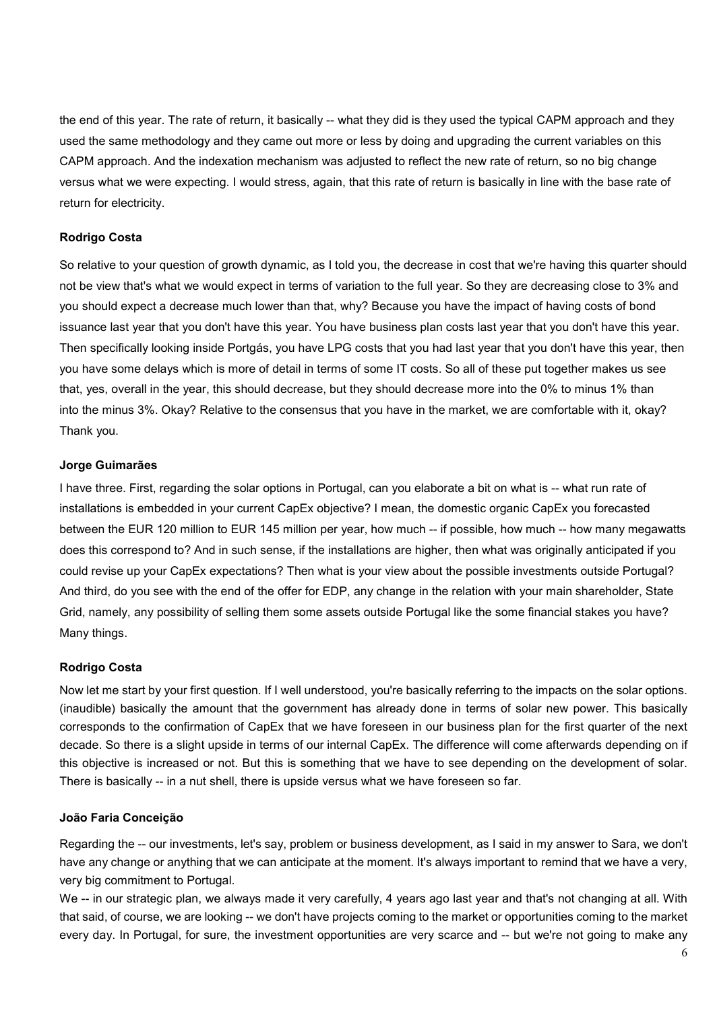the end of this year. The rate of return, it basically -- what they did is they used the typical CAPM approach and they used the same methodology and they came out more or less by doing and upgrading the current variables on this CAPM approach. And the indexation mechanism was adjusted to reflect the new rate of return, so no big change versus what we were expecting. I would stress, again, that this rate of return is basically in line with the base rate of return for electricity.

#### Rodrigo Costa

So relative to your question of growth dynamic, as I told you, the decrease in cost that we're having this quarter should not be view that's what we would expect in terms of variation to the full year. So they are decreasing close to 3% and you should expect a decrease much lower than that, why? Because you have the impact of having costs of bond issuance last year that you don't have this year. You have business plan costs last year that you don't have this year. Then specifically looking inside Portgás, you have LPG costs that you had last year that you don't have this year, then you have some delays which is more of detail in terms of some IT costs. So all of these put together makes us see that, yes, overall in the year, this should decrease, but they should decrease more into the 0% to minus 1% than into the minus 3%. Okay? Relative to the consensus that you have in the market, we are comfortable with it, okay? Thank you.

#### Jorge Guimarães

I have three. First, regarding the solar options in Portugal, can you elaborate a bit on what is -- what run rate of installations is embedded in your current CapEx objective? I mean, the domestic organic CapEx you forecasted between the EUR 120 million to EUR 145 million per year, how much -- if possible, how much -- how many megawatts does this correspond to? And in such sense, if the installations are higher, then what was originally anticipated if you could revise up your CapEx expectations? Then what is your view about the possible investments outside Portugal? And third, do you see with the end of the offer for EDP, any change in the relation with your main shareholder, State Grid, namely, any possibility of selling them some assets outside Portugal like the some financial stakes you have? Many things.

#### Rodrigo Costa

Now let me start by your first question. If I well understood, you're basically referring to the impacts on the solar options. (inaudible) basically the amount that the government has already done in terms of solar new power. This basically corresponds to the confirmation of CapEx that we have foreseen in our business plan for the first quarter of the next decade. So there is a slight upside in terms of our internal CapEx. The difference will come afterwards depending on if this objective is increased or not. But this is something that we have to see depending on the development of solar. There is basically -- in a nut shell, there is upside versus what we have foreseen so far.

#### João Faria Conceição

Regarding the -- our investments, let's say, problem or business development, as I said in my answer to Sara, we don't have any change or anything that we can anticipate at the moment. It's always important to remind that we have a very, very big commitment to Portugal.

We -- in our strategic plan, we always made it very carefully, 4 years ago last year and that's not changing at all. With that said, of course, we are looking -- we don't have projects coming to the market or opportunities coming to the market every day. In Portugal, for sure, the investment opportunities are very scarce and -- but we're not going to make any